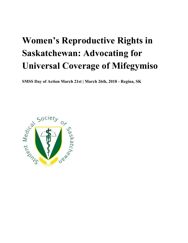# **Women's Reproductive Rights in Saskatchewan: Advocating for Universal Coverage of Mifegymiso**

**SMSS Day of Action March 21st | March 26th, 2018 - Regina, SK**

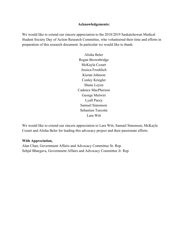## **Acknowledgements:**

We would like to extend our sincere appreciation to the 2018/2019 Saskatchewan Medical Student Society Day of Action Research Committee, who volunteered their time and efforts in preparation of this research document. In particular we would like to thank:

> Alisha Beler Regan Brownbridge McKayla Cozart Jessica Froehlich Kieran Johnson Conley Kriegler Shane Leyen Cadence MacPherson George Mutwiri Lyall Pacey Samuel Simonson Sebastien Turcotte Lara Witt

We would like to extend our sincere appreciation to Lara Witt, Samuel Simonson, McKayla Cozart and Alisha Beler for leading this advocacy project and their passionate efforts.

## **With Appreciation,**

Alan Chan, Government Affairs and Advocacy Committee Sr. Rep. Sehjal Bhargava, Government Affairs and Advocacy Committee Jr. Rep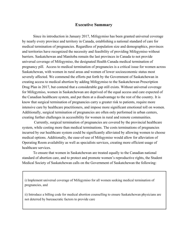## **Executive Summary**

Since its introduction in January 2017, Mifegymiso has been granted universal coverage by nearly every province and territory in Canada, establishing a national standard of care for medical termination of pregnancies. Regardless of population size and demographics, provinces and territories have recognized the necessity and feasibility of providing Mifegymiso without barriers. Saskatchewan and Manitoba remain the last provinces in Canada to not provide universal coverage of Mifegymiso, the designated Health Canada medical termination of pregnancy pill. Access to medical termination of pregnancies is a critical issue for women across Saskatchewan, with women in rural areas and women of lower socioeconomic status most severely affected. We commend the efforts put forth by the Government of Saskatchewan in creating access to medical abortion by adding Mifegymiso to the Saskatchewan Prescription Drug Plan in 2017, but contend that a considerable gap still exists. Without universal coverage for Mifegymiso, women in Saskatchewan are deprived of the equal access and care expected of the Canadian healthcare system, and put them at a disadvantage to the rest of the country. It is know that surgical termination of pregnancies carry a greater risk to patients, require more intensive care by healthcare practitioners, and impose more significant emotional toll on women. Additionally, surgical termination of pregnancies are often only performed in urban centers, creating further challenges in accessibility for women in rural and remote communities.

 Currently, surgical termination of pregnancies are covered by the provincial healthcare system, while costing more than medical terminations. The costs terminations of pregnancies incurred by our healthcare system could be significantly alleviated by allowing women to choose medical options. Additionally, the ease-of-use of Mifegymiso would allow for alleviation of Operating Room availability as well as specialists services, creating more efficient usage of healthcare services.

To ensure that women in Saskatchewan are treated equally to the Canadian national standard of abortion care, and to protect and promote women's reproductive rights, the Student Medical Society of Saskatchewan calls on the Government of Saskatchewan the following:

i) Implement universal coverage of Mifegymiso for all women seeking medical termination of pregnancies, and

ii) Introduce a billing code for medical abortion counselling to ensure Saskatchewan physicians are not deterred by bureaucratic factors to provide care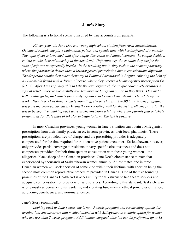## **Jane's Story**

The following is a fictional scenario inspired by true accounts from patients:

*Fifteen-year-old Jane Doe is a young high school student from rural Saskatchewan. Outside of school, she plays badminton, paints, and spends time with her boyfriend of 9 months. The topic of sex is broached, and after ample discussion and mutual consent, the couple decide it is time to take their relationship to the next level. Unfortunately, the condom they use for the sake of safe sex unexpectedly breaks. In the resulting panic, they rush to the nearest pharmacy, where the pharmacist denies them a levonorgestrel prescription due to conscientious objection. The desperate couple then make their way to Planned Parenthood in Regina, enlisting the help of a 17-year-old friend with a driver's license, where they receive a levonorgestrel prescription for \$15.00. After Jane is finally able to take the levonorgestrel, the couple collectively breathes a sigh of relief – they've successfully averted unwanted pregnancy…or so they think. One and a half months go by, and Jane's previously regular-as-clockwork menstrual cycle is late by one week. Then two. Then three. Anxiety mounting, she purchases a \$20.00 brand-name pregnancy test from the nearby pharmacy. During the excruciating wait for the test result, she prays for the test to be negative, choking back tears as she envisions a future where her parents find out she's pregnant at 15. Pale lines of ink slowly begin to form. The test is positive.*

In most Canadian provinces, young women in Jane's situation can obtain a Mifegymiso prescription from their family physician or, in some provinces, their local pharmacist. These prescriptions are provided free-of-charge, and the prescribing provider is adequately compensated for the time required for this sensitive patient encounter. Saskatchewan, however, only provides partial coverage to residents in very specific circumstances and does not compensate providers for their time spent in consultation with these young women – the allegorical black sheep of the Canadian provinces. Jane Doe's circumstance mirrors that experienced by thousands of Saskatchewan women annually. An estimated one in three Canadian women will seek abortion of some kind within their lifetime, with abortion being the second most common reproductive procedure provided in Canada. One of the five founding principles of the Canada Health Act is accessibility for all citizens to healthcare services and adequate compensation for providers of said services. According to this standard, Saskatchewan is grievously under-serving its residents, and violating fundamental ethical principles of justice, autonomy, beneficence, and non-maleficence.

#### Jane's Story (continued):

*Looking back to Jane's case, she is now 5 weeks pregnant and researching options for termination. She discovers that medical abortion with Mifegymiso is a viable option for women who are less than 7 weeks pregnant. Additionally, surgical abortion can be performed up to 18*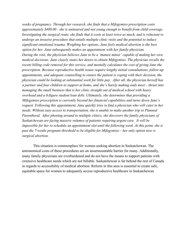*weeks of pregnancy. Through her research, she finds that a Mifegymiso prescription costs approximately \$400.00 - she is uninsured and not young enough to benefit from child coverage. Investigating the surgical route, she finds that it costs at least twice as much, and is reluctant to undergo an invasive procedure that entails multiple clinic visits and the potential to induce significant emotional trauma. Weighing her options, Jane feels medical abortion is the best option for her. Jane subsequently makes an appointment with her family physician. During the visit, the physician believes Jane to be a 'mature minor' capable of making her own medical decisions. Jane clearly states her desire to obtain Mifegymiso. The physician recalls the recent billing code removal for this service, and mentally calculates the cost of giving Jane the prescription. Because reproductive health issues require lengthy initial consultations, follow-up appointments, and adequate counselling to ensure the patient is coping with their decision, the physician could be looking at substantial work for little pay. After all, the physician herself has a partner and four children to support at home, and she's barely making ends meet – thrust into managing the small business that is her clinic straight out of medical school with heavy overhead and a 6-figure student loan debt. Ultimately, she determines that providing a Mifegymiso prescription is currently beyond her financial capabilities and turns down Jane's request. Following this appointment, Jane quickly tries to find a physician who will cater to her needs. Without easy access to transportation, she is unable to make another trip to Planned Parenthood. After phoning around to multiple clinics, she discovers the family physicians of Saskatchewan are facing massive volumes of patients requiring urgent care. It will be impossible for her to schedule an appointment slot until the following week. At this point, she is past the 7-weeks pregnant threshold to be eligible for Mifegymiso – her only option now is surgical abortion.*

This situation is commonplace for women seeking abortion in Saskatchewan. The astronomical costs of these procedures are an insurmountable barrier for many. Additionally, many family physicians are overburdened and do not have the means to support patients with extensive healthcare needs which are not billable. Saskatchewan is far behind the rest of Canada in regards to accessibility of medical abortion. Reform in this area is essential to create safe, equitable space for women to adequately access reproductive healthcare in Saskatchewan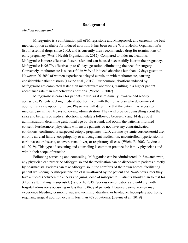## **Background**

## *Medical background*

Mifegymiso is a combination pill of Mifepristone and Misoprostol, and currently the best medical option available for induced abortion. It has been on the World Health Organisation's list of essential drugs since 2005, and is currently their recommended drug for terminations of early pregnancy (World Health Organization, 2012). Compared to older medications, Mifegymiso is more effective, faster, safer, and can be used successfully later in the pregnancy. Mifegymiso is 96.7% effective up to 63 days gestation, eliminating the need for surgery. Conversely, methotrexate is successful in 94% of induced abortions less than 49 days gestation. However, 20-30% of women experience delayed expulsion with methotrexate, causing considerable patient distress (Levine et al., 2019). Furthermore, abortions induced by Mifegymiso are completed faster than methotrexate abortions, resulting in a higher patient acceptance rate than methotrexate abortions. (Wiebe E, 2002)

Mifegymiso is easier for patients to use, as it is minimally invasive and readily accessible. Patients seeking medical abortion meet with their physician who determines if abortion is a safe option for them. Physicians will determine that the patient has access to medical care in the 14 days following administration. They will provide counselling about the risks and benefits of medical abortion, schedule a follow-up between 7 and 14 days post administration, determine gestational age by ultrasound, and obtain the patient's informed consent. Furthermore, physicians will ensure patients do not have any contraindicated conditions: confirmed or suspected ectopic pregnancy, IUD, chronic systemic corticosteroid use, chronic adrenal failure, coagulopathy or anticoagulant medication, uncontrolled hypertension or cardiovascular disease, or severe renal, liver, or respiratory disease (Wiebe E, 2002, Levine et al., 2019). This type of screening and counseling is common practice for family physicians and within their scope of practice

Following screening and counseling, Mifegymiso can be administered. In Saskatchewan, any physician can prescribe Mifegymiso and the medication can be dispensed to patients directly by pharmacists. Patients can take Mifegymiso in the comforts of their own homes, facilitating patient well-being. A mifepristone tablet is swallowed by the patient and 24-48 hours later they take a buccal (between the cheeks and gums) dose of misoprostol. Patients should plan to rest for 3 hours after taking misoprostol. (Wiebe E, 2019) Serious complications are unlikely, with hospital admissions occurring in less than 0.06% of patients. However, some women may experience bleeding, cramping, nausea, vomiting, diarrhea, or headache. Incomplete abortions, requiring surgical abortion occur in less than 4% of patients. (Levine et al., 2019)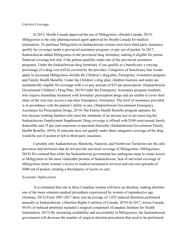### *Current Coverage*

In 2015, Health Canada approved the use of Mifegymiso. (Health Canada, 2015) Mifegymiso is the only pharmaceutical agent approved by Health Canada for medical termination. To purchase Mifegymiso in Saskatchewan women must have third party insurance, qualify for coverage under a provincial assistance program, or pay out of pocket. In 2017, Saskatchewan added Mifegymiso to the provincial drug formulary making it eligible for partial financial coverage but only if the patient qualifies under one of the provincial assistance programs. Under the Saskatchewan drug formulary if you qualify as a beneficiary a varying percentage of a drug cost will be covered by the province. Categories of beneficiary that would apply to accessing Mifegymiso include the Children's drug plan, Emergency Assistance program and Family Health Benefits. Under the Children's drug plan, children fourteen and under are automatically eligible for coverage with a co-pay amount of \$25 per prescription. (Saskatchewan Government Children's Drug Plan, 2019) Under the Emergency Assistance program residents who require immediate treatment with formulary prescription drugs and are unable to cover their share of the cost may access a one-time Emergency Assistance. The level of assistance provided is in accordance with the patient's ability to pay. (Saskatchewan Government Emergency Assistance for Prescription Drugs, 2019) The Family Health Benefits program operates for low-income working families who meet the standards of an income test or are receiving the Saskatchewan Employment Supplement. Drug coverage is offered with \$100 semi-annual family deductible and 35 per cent consumer co-payment thereafter (Saskatchewan Government Family Health Benefits, 2019). If someone does not qualify under these categories coverage of the drug would be out of pocket or left to third party insurance.

Currently only Saskatchewan, Manitoba, Nunavut, and Northwest Territories are the only provinces and territories that do not provide universal coverage of Mifegymiso. (Mifegymiso, 2019) We contend that while the Saskatchewan government has undergone steps to create access to Mifegymiso to the most vulnerable persons of Saskatchewan, lack of universal coverage of Mifegymiso limits women's access to medical termination services and can cost upwards of \$400 out of pocket, creating a discrepancy of access to care.

## *Economic Implications*

 It is estimated that one in three Canadian women will have an abortion, making abortion one of the most common medical procedures experienced by women of reproductive age. (Norman, 2012) From 2007-2017 there was an average of 1,952 induced abortions performed annually in Saskatchewan. (Abortion Rights Coalition of Canada, 2019) In 2017, across Canada, 94.6% of induced abortions included a surgical component. (Canadian Institute for Health Information, 2015) By increasing availability and accessibility to Mifegymiso, the Saskatchewan government will decrease the number of surgical abortion procedures that need to be performed.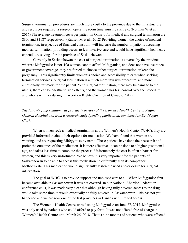Surgical termination procedures are much more costly to the province due to the infrastructure and resources required, a surgeon, operating room time, nursing staff etc. (Norman W et at., 2016) The average treatment costs per patient in Ontario for medical and surgical termination are \$300 and \$1187 respectively. (Rausch M et al., 2012) Providing women the choice of medical termination, irrespective of financial constraint will increase the number of patients accessing medical termination, providing access to less invasive care and would have significant healthcare expenditure savings for the province of Saskatchewan.

Currently in Saskatchewan the cost of surgical termination is covered by the province whereas Mifegymiso is not. If a woman cannot afford Mifegymiso, and does not have insurance or government coverage, they are forced to choose either surgical termination or keep the pregnancy. This significantly limits women's choice and accessibility to care when seeking termination services. Surgical termination is a much more invasive procedure, and more emotionally traumatic for the patient. With surgical termination, there may be damage to the uterus, there can be anesthetic side effects, and the woman has less control over the procedure, and who is with her during it. (Abortion Rights Coalition of Canada, 2019)

*The following information was provided courtesy of the Women's Health Centre at Regina General Hospital and from a research study (pending publication) conducted by Dr. Megan Clark.*

When women seek a medical termination at the Women's Health Center (WHC), they are provided information about their options for medication. We have found that women are wanting, and are requesting Mifegymiso by name. These patients have done their research and prefer the outcomes of the medication. It is more effective, it can be done to a higher gestational age, and takes less time to complete the process. Unfortunately the cost is often a barrier for women, and this is very unfortunate. We believe it is very important for the patients of Saskatchewan to be able to access this medication no differently than its competitor Methotrexate. This medication would significantly lessen the need and/or desire for surgical intervention.

The goal of WHC is to provide support and unbiased care to all. When Mifegymiso first became available in Saskatchewan it was not covered. In our National Abortion Federation conference calls, it was made very clear that although having fully covered access to the drug would take some time, it would eventually be fully covered in Saskatchewan. This has not yet happened and we are now one of the last provinces in Canada with limited access.

The Women's Health Centre started using Mifegymiso on June 27, 2017. Mifegymiso was only used by patients who could afford to pay for it. It was not offered free of charge in Women's Health Centre until March 26, 2018. That is nine months of patients who were affected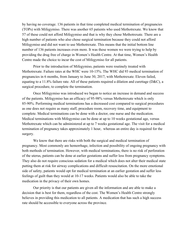by having no coverage. 136 patients in that time completed medical termination of pregnancies (TOPs) with Mifegymiso. There was another 65 patients who used Methotrexate. We know that 57 of these could not afford Mifegymiso and that is why they chose Methotrexate. There are a high number of patients who also chose surgical termination because they could not afford Mifegymiso and did not want to use Methotrexate. This means that the initial bottom line number of 136 patients increases even more. It was these women we were trying to help by providing the drug free of charge in Women's Health Centre. At that time, Women's Health Centre made the choice to incur the cost of Mifegymiso for all patients.

Prior to the introduction of Mifegymiso, patients were routinely treated with Methotrexate. Failure rates at the WHC were 10-15%. The WHC did 93 medical termination of pregnancies in 6 months, from January to June 30, 2017, with Methotrexate. Eleven failed, equating to a 11.8% failure rate. All of these patients required a dilation and curettage ( $D&C$ ), a surgical procedure, to complete the termination.

Once Mifegymiso was introduced we began to notice an increase in demand and success of the patients. Mifegymiso has an efficacy of 95-98% versus Methotrexate which is only 85-90%. Performing medical terminations has a decreased cost compared to surgical procedures as one does not require as many staff, procedure room, recovery time, and equipment to complete. Medical terminations can be done with a doctor, one nurse and the medication. Medical terminations with Mifegymiso can be done at up to 10 weeks gestational age, versus Methotrexate which can be administered at up to 7 weeks gestational age. The visit for a medical termination of pregnancy takes approximately 1 hour, whereas an entire day is required for the surgery.

We know that there are risks with both the surgical and medical termination of pregnancy. Most commonly are hemorrhage, infection and possibility of ongoing pregnancy with both methods of termination. However, with medical terminations, there is no risk of perforation of the uterus, patients can be done at earlier gestations and suffer less from pregnancy symptoms. They also do not require conscious sedation for a medical which does not alter their medical state putting them at risk for airway complications and difficult resuscitation. On the more emotional side of safety, patients would opt for medical termination at an earlier gestation and suffer less feelings of guilt than they would at 10-17 weeks. Patients would also be able to take the medication in the privacy of their own homes.

Our priority is that our patients are given all the information and are able to make a decision that is best for them, regardless of the cost. The Women's Health Centre strongly believes in providing this medication to all patients. A medication that has such a high success rate should be accessible to everyone across the province.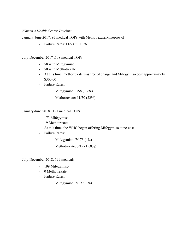## *Women's Health Center Timeline*:

January-June 2017: 93 medical TOPs with Methotrexate/Misoprostol

- Failure Rates:  $11/93 = 11.8\%$ 

### July-December 2017 :108 medical TOPs

- 58 with Mifegymiso
- 50 with Methotrexate
- At this time, methotrexate was free of charge and Mifegymiso cost approximately \$300.00
- Failure Rates:

Mifegymiso: 1/58 (1.7%)

Methotrexate: 11/50 (22%)

January-June 2018 : 191 medical TOPs

- 173 Mifegymiso
- 19 Methotrexate
- At this time, the WHC began offering Mifegymiso at no cost
- Failure Rates:

Mifegymiso: 7/173 (4%)

Methotrexate: 3/19 (15.8%)

July-December 2018: 199 medicals

- 199 Mifegymiso
- 0 Methotrexate
- Failure Rates:

Mifegymiso: 7/199 (3%)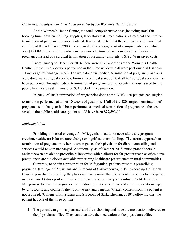#### *Cost-Benefit analysis conducted and provided by the Women's Health Centre:*

At the Women's Health Centre, the total, comprehensive cost (including staff, OR booking time, physician billing, supplies, laboratory tests, medications) of medical and surgical termination of pregnancies was calculated. It was calculated that the average cost of a medical abortion at the WHC was \$298.45, compared to the average cost of a surgical abortion which was \$483.89. In terms of potential cost savings, electing to have a medical termination of pregnancy instead of a surgical termination of pregnancy amounts to \$185.46 in saved costs.

From January to December 2014, there were 1075 abortions at the Women's Health Centre. Of the 1075 abortions performed in that time window, 590 were performed at less than 10 weeks gestational age, where 137 were done via medical termination of pregnancy, and 453 were done via a surgical abortion. From a theoretical standpoint, if all 453 surgical abortions had been performed through medical termination of pregnancies, the potential amount saved by the public healthcare system would be **\$84,013.41** in Regina alone.

In 2017, of 1040 termination of pregnancies done at the WHC, 420 patients had surgical termination performed at under 10 weeks of gestation. If all of the 420 surgical termination of pregnancies in that year had been performed as medical termination of pregnancies, the cost saved to the public healthcare system would have been **\$77,893.00**.

#### *Implementation*

Providing universal coverage for Mifegymiso would not necessitate any program creation, healthcare infrastructure change or significant new funding. The current approach to termination of pregnancies, where women go see their physician for direct counselling and services would remain unchanged. Additionally, as of October 2018, nurse practitioners in Saskatchewan are able to prescribe Mifegymiso which allows for far greater reach as often nurse practitioners are the closest available prescribing healthcare practitioners in rural communities.

Currently, to obtain a prescription for Mifegymiso, patients must to a prescribing physician. (College of Physicians and Surgeons of Saskatchewan, 2019) According the Health Canada, prior to a prescribing the physician must ensure that the patient has access to emergency medical care 14 days post administration, schedule a follow-up appointment 7-14 days after Mifegymiso to confirm pregnancy termination, exclude an ectopic and confirm gestational age by ultrasound, and counsel patients on the risk and benefits. Written consent from the patient is not required. (College of Physicians and Surgeons of Saskatchewan, 2019) Following this, the patient has one of the three options:

1. The patient can go to a pharmacist of their choosing and have the medication delivered to the physician's office. They can then take the medication at the physician's office.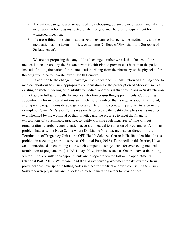- 2. The patient can go to a pharmacist of their choosing, obtain the medication, and take the medication at home as instructed by their physician. There is no requirement for witnessed ingestion.
- 3. If a prescribing physician is authorized, they can sell/dispense the medication, and the medication can be taken in office, or at home (College of Physicians and Surgeons of Saskatchewan).

We are not proposing that any of this is changed, rather we ask that the cost of the medication be covered by the Saskatchewan Health Plan to prevent cost burden to the patient. Instead of billing the patient for the medication, billing from the pharmacy or the physician for the drug would be to Saskatchewan Health Benefits.

In addition to the change in coverage, we request the implementation of a billing code for medical abortions to ensure appropriate compensation for the prescription of Mifegymiso. An existing obstacle hindering accessibility to medical abortions is that physicians in Saskatchewan are not able to bill specifically for medical abortion counselling appointments. Counselling appointments for medical abortions are much more involved than a regular appointment visit, and typically require considerable greater amounts of time spent with patients. As seen in the example of "Jane Doe's Story", it is reasonable to foresee the reality that physician's may feel overwhelmed by the workload of their practice and the pressure to meet the financial expectations of a sustainable practice, to justify working such measures of time without remuneration, thereby reducing patient access to medical termination of pregnancies. A similar problem had arisen in Nova Scotia where Dr. Lianne Yoshida, medical co-director of the Termination of Pregnancy Unit at the QEII Health Sciences Centre in Halifax identified this as a problem in accessing abortion services (National Post, 2018). To remediate this barrier, Nova Scotia introduced a new billing code which compensates physicians for overseeing medical termination of pregnancies. (CKPG Today, 2018) Provinces such as Ontario have a flat billing fee for initial consultations appointments and a seperate fee for follow-up appointments (National Post, 2018). We recommend the Saskatchewan government to take example from provinces that have specific billing codes in place for medical abortion counselling to ensure Saskatchewan physicians are not deterred by bureaucratic factors to provide care.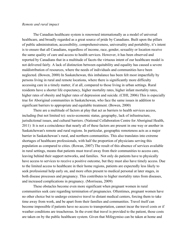#### *Remote and rural impact*

The Canadian healthcare system is renowned internationally as a model of universal healthcare, and broadly regarded as a great source of pride by Canadians. Built upon the pillars of public administration, accessibility, comprehensiveness, universality and portability, it's intent is to ensure that all Canadians, regardless of income, race, gender, sexuality or location receive the same quality of care and access to health services. However, it has been observed and reported by Canadians that in a multitude of facets the virtuous intent of our healthcare model is not delivered fairly. A lack of distinction between equitability and equality has caused a severe maldistribution of resources, where the needs of individuals and communities have been neglected. (Bowen, 2000) In Saskatchewan, this imbalance has been felt most impactfully by persons living in rural and remote locations, where there is significantly more difficulty accessing care in a timely matter, if at all, compared to those living in urban settings. Rural residents have a shorter life expectancy, higher mortality rates, higher infant mortality rates, higher rates of obesity and higher rates of depression and suicide. (CIHI, 2006) This is especially true for Aboriginal communities in Saskatchewan, who face the same issues in addition to significant barriers to appropriate and equitable treatment. (Bowen, 2000)

There are a multitude of factors at play that act as barriers to health services access, including (but not limited to): socio-economic status, geography, lack of infrastructure, jurisdictional issues, and cultural barriers. (National Collaboration Centre for Aboriginal Health, 2011) It is not a coincidence that nearly all of these factors are present in one way or another in Saskatchewan's remote and rural regions. In particular, geographic remoteness acts as a major barrier in Saskatchewan's rural, and northern communities. This also translates into extreme shortages of healthcare professionals, with half the proportion of physicians serving this population as compared to cities. (Rowan, 2007) The result of this absence of services available in rural settings, means that patients must travel away from their communities to access care, leaving behind their support networks, and families. Not only do patients have to physically have access to services to receive a positive outcome, but they must also have timely access. Due to the limited access to healthcare in their home regions, patients are expectedly less likely to seek professional help early on, and more often present to medical personal at later stages, in both disease processes and pregnancy. This contributes to higher mortality rates from diseases, and increased complications in pregnancy. (Morriseau, 2009)

These obstacles become even more significant when pregnant women in rural communities seek care regarding termination of pregnancies. Oftentimes, pregnant women have no other choice but to undergo extensive travel to distant medical centers, forcing them to take time away from work, and be apart from their families and communities. Travel itself can become impossible if patients have no access to transportation, cannot incur the travel costs or if weather conditions are treacherous. In the event that travel is provided to the patient, those costs are taken on by the public healthcare system. Given that Mifegymiso can be taken at home and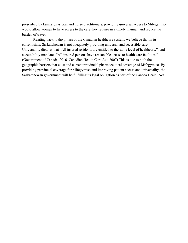prescribed by family physician and nurse practitioners, providing universal access to Mifegymiso would allow women to have access to the care they require in a timely manner, and reduce the burden of travel.

Relating back to the pillars of the Canadian healthcare system, we believe that in its current state, Saskatchewan is not adequately providing universal and accessible care. Universality dictates that "All insured residents are entitled to the same level of healthcare.", and accessibility mandates "All insured persons have reasonable access to health care facilities." (Government of Canada, 2016, Canadian Health Care Act, 2007) This is due to both the geographic barriers that exist and current provincial pharmaceutical coverage of Mifegymiso. By providing provincial coverage for Mifegymiso and improving patient access and universality, the Saskatchewan government will be fulfilling its legal obligation as part of the Canada Health Act.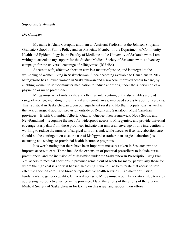Supporting Statements:

#### *Dr. Cattapan*

My name is Alana Cattapan, and I am an Assistant Professor at the Johnson Shoyama Graduate School of Public Policy and an Associate Member of the Department of Community Health and Epidemiology in the Faculty of Medicine at the University of Saskatchewan. I am writing to articulate my support for the Student Medical Society of Saskatchewan's advocacy campaign for the universal coverage of Mifegymiso (RU-486).

Access to safe, effective abortion care is a matter of justice, and is integral to the well-being of women living in Saskatchewan. Since becoming available to Canadians in 2017, Mifegymiso has allowed women in Saskatchewan and elsewhere improved access to care, by enabling women to self-administer medication to induce abortions, under the supervision of a physician or nurse practitioner.

Mifegymiso is not only a safe and effective intervention, but it also enables a broader range of women, including those in rural and remote areas, improved access to abortion services. This is critical in Saskatchewan given our significant rural and Northern populations, as well as the lack of surgical abortion provision outside of Regina and Saskatoon. Most Canadian provinces—British Columbia, Alberta, Ontario, Quebec, New Brunswick, Nova Scotia, and Newfoundland—recognize the need for widespread access to Mifegymiso, and provide universal coverage. Early data from these provinces indicate that universal coverage of this intervention is working to reduce the number of surgical abortions and, while access to free, safe abortion care should not be contingent on cost, the use of Mifegymiso (rather than surgical abortions) is occurring at a savings to provincial health insurance programs.

It is worth noting that there have been important measures taken in Saskatchewan to improve access to care. These include the expansion of potential prescribers to include nurse practitioners, and the inclusion of Mifegymiso under the Saskatchewan Prescription Drug Plan. Yet, access to medical abortions in province remain out of reach for many, particularly those for whom the high cost is a critical barrier. In closing, I would like to reiterate that access to safe effective abortion care—and broader reproductive health services—is a matter of justice, fundamental to gender equality. Universal access to Mifegymiso would be a critical step towards addressing reproductive justice in the province. I laud the efforts of the efforts of the Student Medical Society of Saskatchewan for taking on this issue, and support their efforts.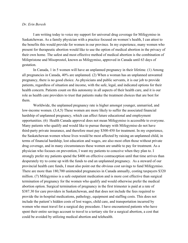#### *Dr. Erin Beresh*

I am writing today to voice my support for universal drug coverage for Mifegymiso in Saskatchewan. As a family physician with a practice focused on women's health, I can attest to the benefits this would provide for women in our province. In my experience, many women who present for therapeutic abortion would like to use the option of medical abortion in the privacy of their own home. The safest and most effective method of medical abortion is the combination of Mifepristone and Misoprostol, known as Mifegymiso, approved in Canada until 63 days of gestation.

In Canada, 1 in 5 women will have an unplanned pregnancy in their lifetime. (1) Among all pregnancies in Canada, 40% are unplanned. (2) When a woman has an unplanned unwanted pregnancy, there is no good choice. As physicians and public servants, it is our job to provide patients, regardless of situation and income, with the safe, legal, and indicated options for their health concern. Patients count on this autonomy in all aspects of their health care, and it is our role as health care providers to trust that patients make the treatment choices that are best for them.

Worldwide, the unplanned pregnancy rate is higher amongst younger, unmarried, and low-income women. (3,4,5) These women are more likely to suffer the associated financial hardship of unplanned pregnancy, which can affect future educational and employment opportunities. (6) Health Canada approval does not mean Mifegymiso is accessible to everyone. Many patients who qualify and would like to pursue therapy with Mifegymiso do not have third-party private insurance, and therefore must pay \$300-450 for treatment. In my experience, the Saskatchewan women whose lives would be most affected by raising an unplanned child, in terms of financial hardship, lost education and wages, are also most often those without private drug coverage, and in many circumstances these women are unable to pay for treatment. As a physician who focuses on prevention, I want my patients to conceive when they plan to. I strongly prefer my patients spend the \$400 on effective contraception until that time arrives than desperately try to come up with the funds to end an unplanned pregnancy. As a steward of our provincial health care funds, I must also point out the obvious cost savings to fund Mifegymiso. There are more than 180,700 unintended pregnancies in Canada annually, costing taxpayers \$320 million. (7) Mifegymiso is a safe outpatient medication and is more cost effective than surgical termination of pregnancy for the women who qualify and would otherwise prefer the medical abortion option. Surgical termination of pregnancy in the first trimester is paid at a rate of \$387.30 for care providers in Saskatchewan, and that does not include the fees required to provide the in-hospital medications, pathology, equipment and staffing costs. This does not include the patient's hidden costs of lost wages, child care, and transportation incurred by women who must travel for a surgical day procedure. I have encountered patients who have spent their entire savings account to travel to a tertiary site for a surgical abortion, a cost that could be avoided by utilizing medical abortion and telehealth.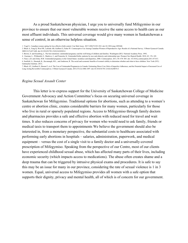As a proud Saskatchewan physician, I urge you to universally fund Mifegymiso in our province to ensure that our most vulnerable women receive the same access to health care as our most affluent individuals. This universal coverage would give many women in Saskatchewan a sense of control, in an otherwise helpless situation.

4. Guzman, L., Wildsmith, E., Manlove, J., and Franzetta, K. Unintended births: patterns by race and ethnicity and relationship type. Perspect Sex Reprod Health. 2010; 42: 176–185.

7. Black AY, Guilbert E, Hassan F, et al. The Cost of Unintended Pregnancies in Canada: Estimating Direct Cost, Role of Imperfect Adherence, and the Potential Impact of Increased Use of Long-Acting Reversible Contraceptives. J Obstet Gynaecol Canada. 2015;37(12):1086-1097. doi:10.1016/S1701-2163(16)30074-3

#### *Regina Sexual Assault Center*

This letter is to express support for the University of Saskatchewan College of Medicine Government Advocacy and Action Committee's focus on securing universal coverage in Saskatchewan for Mifegymiso. Traditional options for abortions, such as attending to a women's centre or abortion clinic, creates considerable barriers for many women, particularly for those who live in rural or sparsely populated regions. Access to Mifegymiso through family doctors and pharmacies provides a safe and effective abortion with reduced need for travel and wait times. It also reduces concerns of privacy for women who would need to ask family, friends or medical taxis to transport them to appointments We believe the government should also be interested in, from a monetary perspective, the substantial costs to healthcare associated with performing early abortions in hospitals – salaries, administration, paperwork, and medical equipment – versus the cost of a single visit to a family doctor and a universally-covered prescription of Mifegymiso. Speaking from the perspective of our Centre, most of our clients have experienced childhood sexual abuse, which has affected many parts of their lives, including economic security (which impacts access to medications). The abuse often creates shame and a deep trauma that can be triggered by intrusive physical exams and procedures. It is safe to say this may be an issue for many in our province, considering the rate of sexual violence is 1 in 3 women. Equal, universal access to Mifegymiso provides all women with a safe option that supports their dignity, privacy and mental health, all of which is of concern for our government.

<sup>1.</sup> Vogel L. Canadian women opting for less effective birth control. Can Med Assoc. 2017;189(27):921-922. doi:10.1503/cmaj.1095446

<sup>2.</sup> Black A, Yang Q, Wen SW, Lalonde AB, Guilbert E, Fisher W. Contraceptive Use Among Canadian Women of Reproductive Age: Results of a National Survey. J Obstet Gynaecol Canada. 2009;31(7):627-640. doi:10.1016/S1701-2163(16)34242-6

<sup>3.</sup> Brown, S. and Eisenberg, L. The best intentions: unintended pregnancy and the well-being of children and families. Washington (DC): National Academy Press. 1995;

<sup>5.</sup> Finer, L.B. and Zolna, M.R. Unintended pregnancy in the United States: incidence and disparities, 2006. Contraception. 2011; 84: 478–485. doi: 10.1016/j.contraception.2011.07.013.

<sup>6.</sup> Sonfield, A., Hasstedt, K., Kavanaugh, M.L., and Anderson, R. The social and economic benefits of women's ability to determine whether and when to have children. New York (NY): Guttmacher Institute. 2013;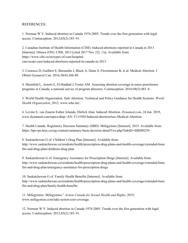## REFERENCES:

1. Norman W V. Induced abortion in Canada 1974-2005: Trends over the first generation with legal access. Contraception. 2012;85(2):185–91.

2. Canadian Institute of Health Information (CIHI). Induced abortions reported in Canada in 2013 [Internet]. Ottawa (ON): CIHI; 2013 [cited 2017 Nov 22]. 11p. Available from: https://www.cihi.ca/en/types-of-care/hospitalcare/acute-care/induced-abortions-reported-in-canada-in-2013

3. Costescu D, Guilbert E, Bernardin J, Black A, Dunn S, Fitzsimmons B, et al. Medical Abortion. J Obstet Gynaecol Can. 2016;38(4):366-89.

4. Sheinfeld L, Arnott G, El-Haddad J, Foster AM. Assessing abortion coverage in nurse practitioner programs in Canada: a national survey of program directors. Contraception. 2016;94(5):483–8.

5. World Health Organization. Safe Abortion: Technical and Policy Guidance for Health Systems. *World Health Organization*, 2012, www.who.int/.

6. Levine E, van Zuuren Esther Jolanda, Ehrlich Alan. Induced Abortion. *Dynamed.com*, 24 Jan. 2019, [www.dynamed.com/topics/dmp~AN~T115505/Induced-abortion#sec-Medical-Abortion](http://www.dynamed.com/topics/dmp~AN~T115505/Induced-abortion#sec-Medical-Abortion).

7. Health Canada. Regulatory Decision Summary (SBD): Mifegymiso [Internet]. 2015. Available from: <https://hpr-rps.hres.ca/reg-content/summary-basis-decision-detailTwo.php?linkID=SBD00239>

8. Saskatchewan G of. Children's Drug Plan [Internet]. Available from: [http://www.saskatchewan.ca/residents/health/prescription-drug-plans-and-health-coverage/extended-bene](http://www.saskatchewan.ca/residents/health/prescription-drug-plans-and-health-coverage/extended-benefits-and-drug-plan/childrens-drug-plan) [fits-and-drug-plan/childrens-drug-plan](http://www.saskatchewan.ca/residents/health/prescription-drug-plans-and-health-coverage/extended-benefits-and-drug-plan/childrens-drug-plan)

9. Saskatchewan G of. Emergency Assistance for Prescription Drugs [Internet]. Available from: http://www.saskatchewan.ca/residents/health/prescription-drug-plans-and-health-coverage/extended-bene fits-and-drug-plan/emergency-assistance-for-prescription-drugs

10. Saskatchewan G of. Family Health Benefits [Internet]. Available from: [http://www.saskatchewan.ca/residents/health/prescription-drug-plans-and-health-coverage/extended-bene](http://www.saskatchewan.ca/residents/health/prescription-drug-plans-and-health-coverage/extended-benefits-and-drug-plan/family-health-benefits) [fits-and-drug-plan/family-health-benefits](http://www.saskatchewan.ca/residents/health/prescription-drug-plans-and-health-coverage/extended-benefits-and-drug-plan/family-health-benefits)

11. Mifegymiso. Mifegymiso." *Action Canada for Sexual Health and Rights*, 2019, [www.mifegymiso.com/take-action-cost-coverage.](http://www.mifegymiso.com/take-action-cost-coverage)

12. Norman W V. Induced abortion in Canada 1974-2005: Trends over the first generation with legal access. Contraception. 2012;85(2):185–91.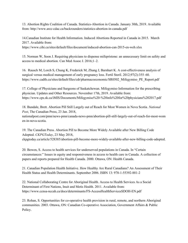13. Abortion Rights Coalition of Canada. Statistics-Abortion in Canada. January 30th, 2019. Available from: <http://www.arcc-cdac.ca/backrounders/statistics-abortion-in-canada.pdf>

14.Canadian Institute for Health Information. Induced Abortions Reported in Canada in 2015. March 2017. Available from:

<https://www.cihi.ca/sites/default/files/document/induced-abortion-can-2015-en-web.xlsx>

15. Norman W, Soon J. Requiring physicians to dispense mifepristone: an unnecessary limit on safety and access to medical abortion. Can Med Assoc J. 2016;1–2.

16. Rausch M, Lorch S, Chung K, Frederick M, Zhang J, Barnhart K. A cost-effectiveness analysis of surgical versus medical management of early pregnancy loss. Fertil Steril. 2012;97(2):355–60. [https://www.cadth.ca/sites/default/files/cdr/pharmacoeconomic/SR0502\\_Mifegymiso\\_PE\\_Report.pdf](https://www.cadth.ca/sites/default/files/cdr/pharmacoeconomic/SR0502_Mifegymiso_PE_Report.pdf)

17. College of Physicians and Surgeons of Saskatchewan. Mifegymiso Information for the prescribing physician. Updates and Other Resources. November 17th, 2019. Available from: <https://www.cps.sk.ca/iMIS/Documents/Mifegymiso%20-%20info%20for%20physicians%202017.pdf>

18. Bundale, Brett. Abortion Pill Still Largely out of Reach for Most Women in Nova Scotia. *National Post*, The Canadian Press, 23 Jan. 2018,

nationalpost.com/pmn/news-pmn/canada-news-pmn/abortion-pill-still-largely-out-of-reach-for-most-wom en-in-nova-scotia.

19. The Canadian Press. Abortion Pill to Become More Widely Available after New Billing Code Adopted. *CKPGToday*, 23 May 2018, ckpgtoday.ca/article/528385/abortion-pill-become-more-widely-available-after-new-billing-code-adopted.

20. Bowen, S. Access to health services for underserved populations in Canada. In "Certain circumstances:" Issues in equity and responsiveness in access to health care in Canada. A collection of papers and reports prepared for Health Canada. 2000. Ottawa, ON: Health Canada.

21. Canadian Population Health Initiative. How Healthy Are Rural Canadians? An Assessment of Their Health Status and Health Determinants. September 2006. ISBN 13: 978-1-55392-881-2

22. National Collaborating Centre for Aboriginal Health. Access to Health Services As a Social Determinant of First Nations, Inuit and Metis Health. 2011. Available from: <https://www.ccnsa-nccah.ca/docs/determinants/FS-AccessHealthServicesSDOH-EN.pdf>

23. Rohan, S. Opportunities for co-operative health provision in rural, remote, and northern Aboriginal communities. 2003. Ottawa, ON: Canadian Co-operative Association, Government Affairs & Public Policy.